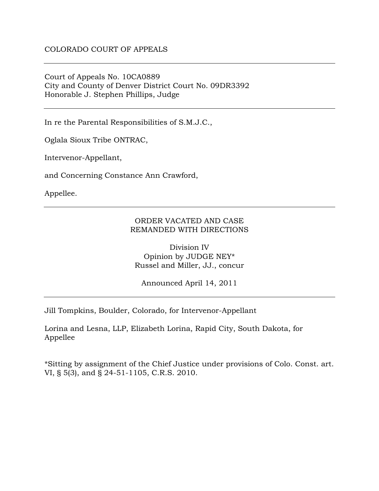Court of Appeals No. 10CA0889 City and County of Denver District Court No. 09DR3392 Honorable J. Stephen Phillips, Judge

In re the Parental Responsibilities of S.M.J.C.,

Oglala Sioux Tribe ONTRAC,

Intervenor-Appellant,

and Concerning Constance Ann Crawford,

Appellee.

## ORDER VACATED AND CASE REMANDED WITH DIRECTIONS

Division IV Opinion by JUDGE NEY\* Russel and Miller, JJ., concur

Announced April 14, 2011

Jill Tompkins, Boulder, Colorado, for Intervenor-Appellant

Lorina and Lesna, LLP, Elizabeth Lorina, Rapid City, South Dakota, for Appellee

\*Sitting by assignment of the Chief Justice under provisions of Colo. Const. art. VI, § 5(3), and § 24-51-1105, C.R.S. 2010.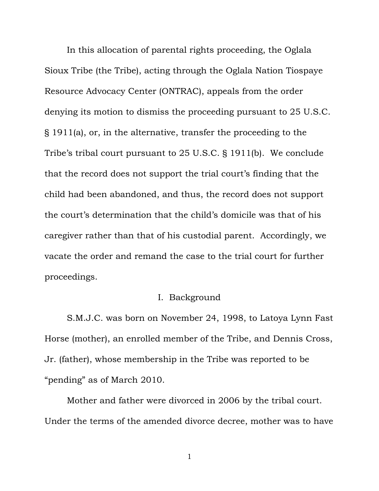In this allocation of parental rights proceeding, the Oglala Sioux Tribe (the Tribe), acting through the Oglala Nation Tiospaye Resource Advocacy Center (ONTRAC), appeals from the order denying its motion to dismiss the proceeding pursuant to 25 U.S.C. § 1911(a), or, in the alternative, transfer the proceeding to the Tribe's tribal court pursuant to 25 U.S.C. § 1911(b). We conclude that the record does not support the trial court's finding that the child had been abandoned, and thus, the record does not support the court's determination that the child's domicile was that of his caregiver rather than that of his custodial parent. Accordingly, we vacate the order and remand the case to the trial court for further proceedings.

## I. Background

S.M.J.C. was born on November 24, 1998, to Latoya Lynn Fast Horse (mother), an enrolled member of the Tribe, and Dennis Cross, Jr. (father), whose membership in the Tribe was reported to be "pending" as of March 2010.

Mother and father were divorced in 2006 by the tribal court. Under the terms of the amended divorce decree, mother was to have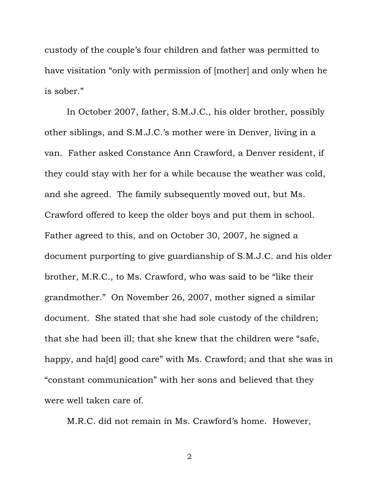custody of the couple's four children and father was permitted to have visitation "only with permission of [mother] and only when he is sober."

In October 2007, father, S.M.J.C., his older brother, possibly other siblings, and S.M.J.C.'s mother were in Denver, living in a van. Father asked Constance Ann Crawford, a Denver resident, if they could stay with her for a while because the weather was cold, and she agreed. The family subsequently moved out, but Ms. Crawford offered to keep the older boys and put them in school. Father agreed to this, and on October 30, 2007, he signed a document purporting to give guardianship of S.M.J.C. and his older brother, M.R.C., to Ms. Crawford, who was said to be "like their grandmother." On November 26, 2007, mother signed a similar document. She stated that she had sole custody of the children; that she had been ill; that she knew that the children were "safe, happy, and ha[d] good care" with Ms. Crawford; and that she was in "constant communication" with her sons and believed that they were well taken care of.

M.R.C. did not remain in Ms. Crawford's home. However,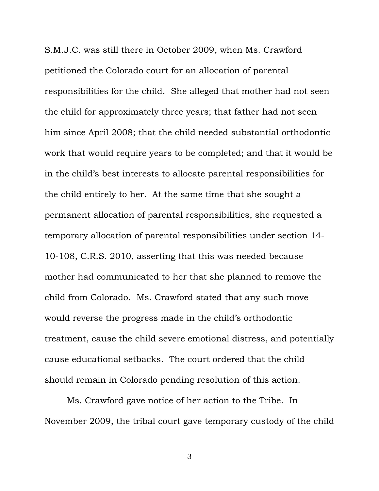S.M.J.C. was still there in October 2009, when Ms. Crawford petitioned the Colorado court for an allocation of parental responsibilities for the child. She alleged that mother had not seen the child for approximately three years; that father had not seen him since April 2008; that the child needed substantial orthodontic work that would require years to be completed; and that it would be in the child's best interests to allocate parental responsibilities for the child entirely to her. At the same time that she sought a permanent allocation of parental responsibilities, she requested a temporary allocation of parental responsibilities under section 14- 10-108, C.R.S. 2010, asserting that this was needed because mother had communicated to her that she planned to remove the child from Colorado. Ms. Crawford stated that any such move would reverse the progress made in the child's orthodontic treatment, cause the child severe emotional distress, and potentially cause educational setbacks. The court ordered that the child should remain in Colorado pending resolution of this action.

Ms. Crawford gave notice of her action to the Tribe. In November 2009, the tribal court gave temporary custody of the child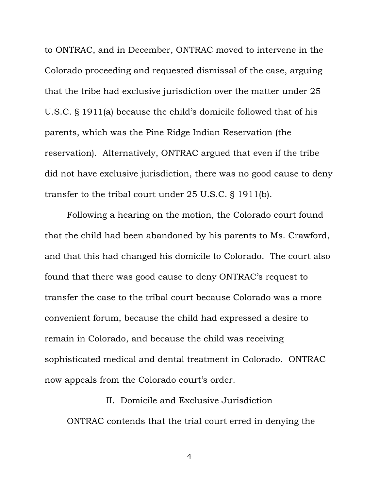to ONTRAC, and in December, ONTRAC moved to intervene in the Colorado proceeding and requested dismissal of the case, arguing that the tribe had exclusive jurisdiction over the matter under 25 U.S.C. § 1911(a) because the child's domicile followed that of his parents, which was the Pine Ridge Indian Reservation (the reservation). Alternatively, ONTRAC argued that even if the tribe did not have exclusive jurisdiction, there was no good cause to deny transfer to the tribal court under 25 U.S.C. § 1911(b).

Following a hearing on the motion, the Colorado court found that the child had been abandoned by his parents to Ms. Crawford, and that this had changed his domicile to Colorado. The court also found that there was good cause to deny ONTRAC's request to transfer the case to the tribal court because Colorado was a more convenient forum, because the child had expressed a desire to remain in Colorado, and because the child was receiving sophisticated medical and dental treatment in Colorado. ONTRAC now appeals from the Colorado court's order.

# II. Domicile and Exclusive Jurisdiction ONTRAC contends that the trial court erred in denying the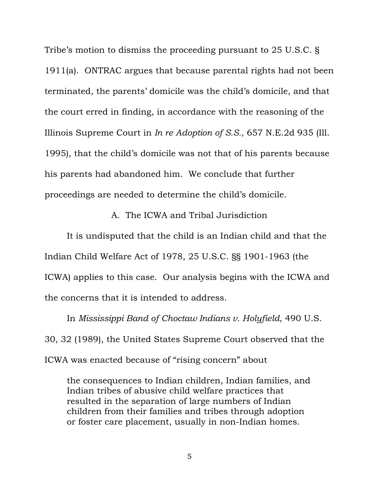Tribe's motion to dismiss the proceeding pursuant to 25 U.S.C. § 1911(a). ONTRAC argues that because parental rights had not been terminated, the parents' domicile was the child's domicile, and that the court erred in finding, in accordance with the reasoning of the Illinois Supreme Court in *In re Adoption of S.S.*, 657 N.E.2d 935 (Ill. 1995), that the child's domicile was not that of his parents because his parents had abandoned him. We conclude that further proceedings are needed to determine the child's domicile.

A. The ICWA and Tribal Jurisdiction

It is undisputed that the child is an Indian child and that the Indian Child Welfare Act of 1978, 25 U.S.C. §§ 1901-1963 (the ICWA) applies to this case. Our analysis begins with the ICWA and the concerns that it is intended to address.

In *Mississippi Band of Choctaw Indians v. Holyfield*, 490 U.S. 30, 32 (1989), the United States Supreme Court observed that the ICWA was enacted because of "rising concern" about

the consequences to Indian children, Indian families, and Indian tribes of abusive child welfare practices that resulted in the separation of large numbers of Indian children from their families and tribes through adoption or foster care placement, usually in non-Indian homes.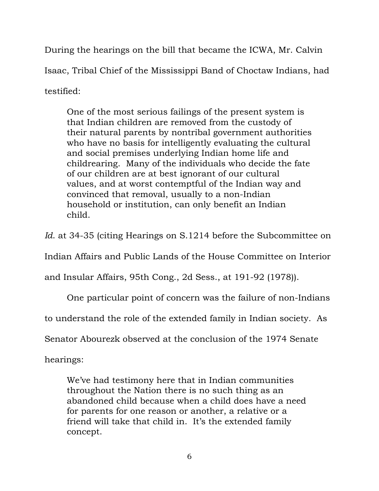During the hearings on the bill that became the ICWA, Mr. Calvin Isaac, Tribal Chief of the Mississippi Band of Choctaw Indians, had testified:

One of the most serious failings of the present system is that Indian children are removed from the custody of their natural parents by nontribal government authorities who have no basis for intelligently evaluating the cultural and social premises underlying Indian home life and childrearing. Many of the individuals who decide the fate of our children are at best ignorant of our cultural values, and at worst contemptful of the Indian way and convinced that removal, usually to a non-Indian household or institution, can only benefit an Indian child.

*Id.* at 34-35 (citing Hearings on S.1214 before the Subcommittee on

Indian Affairs and Public Lands of the House Committee on Interior

and Insular Affairs, 95th Cong., 2d Sess., at 191-92 (1978)).

One particular point of concern was the failure of non-Indians

to understand the role of the extended family in Indian society. As

Senator Abourezk observed at the conclusion of the 1974 Senate

hearings:

We've had testimony here that in Indian communities throughout the Nation there is no such thing as an abandoned child because when a child does have a need for parents for one reason or another, a relative or a friend will take that child in. It's the extended family concept.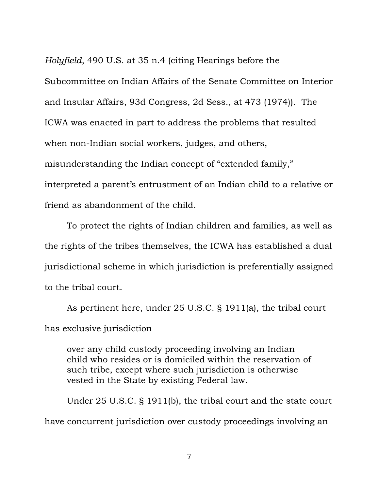*Holyfield*, 490 U.S. at 35 n.4 (citing Hearings before the Subcommittee on Indian Affairs of the Senate Committee on Interior and Insular Affairs, 93d Congress, 2d Sess., at 473 (1974)). The ICWA was enacted in part to address the problems that resulted when non-Indian social workers, judges, and others, misunderstanding the Indian concept of "extended family," interpreted a parent's entrustment of an Indian child to a relative or friend as abandonment of the child.

To protect the rights of Indian children and families, as well as the rights of the tribes themselves, the ICWA has established a dual jurisdictional scheme in which jurisdiction is preferentially assigned to the tribal court.

As pertinent here, under 25 U.S.C. § 1911(a), the tribal court has exclusive jurisdiction

over any child custody proceeding involving an Indian child who resides or is domiciled within the reservation of such tribe, except where such jurisdiction is otherwise vested in the State by existing Federal law.

Under 25 U.S.C. § 1911(b), the tribal court and the state court have concurrent jurisdiction over custody proceedings involving an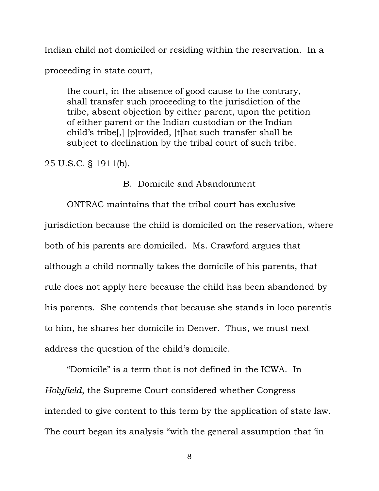Indian child not domiciled or residing within the reservation. In a

proceeding in state court,

the court, in the absence of good cause to the contrary, shall transfer such proceeding to the jurisdiction of the tribe, absent objection by either parent, upon the petition of either parent or the Indian custodian or the Indian child's tribe[,] [p]rovided, [t]hat such transfer shall be subject to declination by the tribal court of such tribe.

25 U.S.C. § 1911(b).

#### B. Domicile and Abandonment

ONTRAC maintains that the tribal court has exclusive jurisdiction because the child is domiciled on the reservation, where both of his parents are domiciled. Ms. Crawford argues that although a child normally takes the domicile of his parents, that rule does not apply here because the child has been abandoned by his parents. She contends that because she stands in loco parentis to him, he shares her domicile in Denver. Thus, we must next address the question of the child's domicile.

"Domicile" is a term that is not defined in the ICWA. In *Holyfield*, the Supreme Court considered whether Congress intended to give content to this term by the application of state law. The court began its analysis "with the general assumption that 'in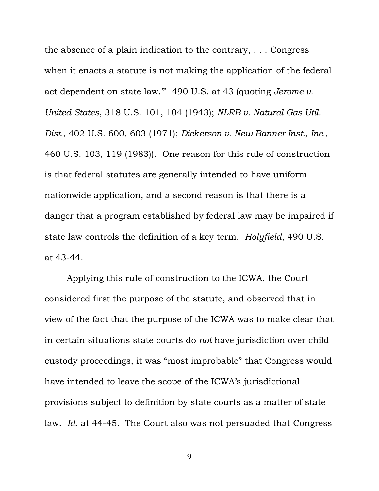the absence of a plain indication to the contrary, . . . Congress when it enacts a statute is not making the application of the federal act dependent on state law.'" 490 U.S. at 43 (quoting *Jerome v. United States*, 318 U.S. 101, 104 (1943); *NLRB v. Natural Gas Util. Dist.*, 402 U.S. 600, 603 (1971); *Dickerson v. New Banner Inst., Inc.*, 460 U.S. 103, 119 (1983)). One reason for this rule of construction is that federal statutes are generally intended to have uniform nationwide application, and a second reason is that there is a danger that a program established by federal law may be impaired if state law controls the definition of a key term. *Holyfield*, 490 U.S. at 43-44.

Applying this rule of construction to the ICWA, the Court considered first the purpose of the statute, and observed that in view of the fact that the purpose of the ICWA was to make clear that in certain situations state courts do *not* have jurisdiction over child custody proceedings, it was "most improbable" that Congress would have intended to leave the scope of the ICWA's jurisdictional provisions subject to definition by state courts as a matter of state law. *Id*. at 44-45. The Court also was not persuaded that Congress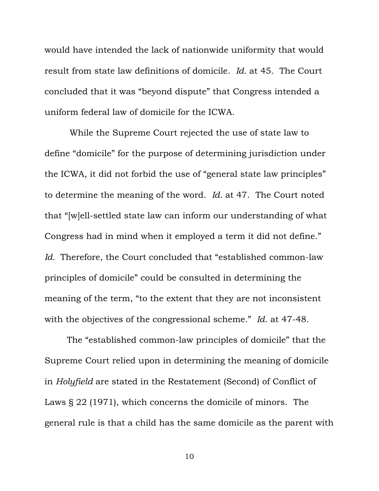would have intended the lack of nationwide uniformity that would result from state law definitions of domicile. *Id.* at 45. The Court concluded that it was "beyond dispute" that Congress intended a uniform federal law of domicile for the ICWA.

 While the Supreme Court rejected the use of state law to define "domicile" for the purpose of determining jurisdiction under the ICWA, it did not forbid the use of "general state law principles" to determine the meaning of the word. *Id.* at 47. The Court noted that "[w]ell-settled state law can inform our understanding of what Congress had in mind when it employed a term it did not define." *Id.* Therefore, the Court concluded that "established common-law principles of domicile" could be consulted in determining the meaning of the term, "to the extent that they are not inconsistent with the objectives of the congressional scheme." *Id*. at 47-48.

The "established common-law principles of domicile" that the Supreme Court relied upon in determining the meaning of domicile in *Holyfield* are stated in the Restatement (Second) of Conflict of Laws § 22 (1971), which concerns the domicile of minors. The general rule is that a child has the same domicile as the parent with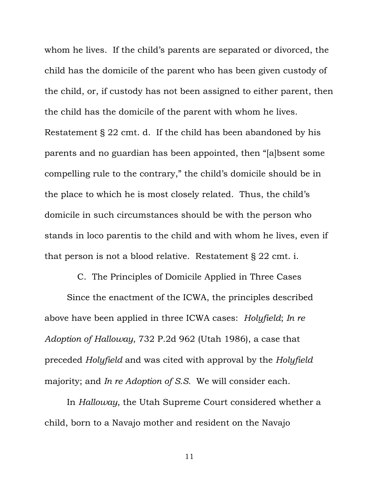whom he lives. If the child's parents are separated or divorced, the child has the domicile of the parent who has been given custody of the child, or, if custody has not been assigned to either parent, then the child has the domicile of the parent with whom he lives. Restatement § 22 cmt. d. If the child has been abandoned by his parents and no guardian has been appointed, then "[a]bsent some compelling rule to the contrary," the child's domicile should be in the place to which he is most closely related. Thus, the child's domicile in such circumstances should be with the person who stands in loco parentis to the child and with whom he lives, even if that person is not a blood relative. Restatement § 22 cmt. i.

C. The Principles of Domicile Applied in Three Cases Since the enactment of the ICWA, the principles described above have been applied in three ICWA cases: *Holyfield*; *In re Adoption of Halloway*, 732 P.2d 962 (Utah 1986), a case that preceded *Holyfield* and was cited with approval by the *Holyfield* majority; and *In re Adoption of S.S.* We will consider each.

In *Halloway*, the Utah Supreme Court considered whether a child, born to a Navajo mother and resident on the Navajo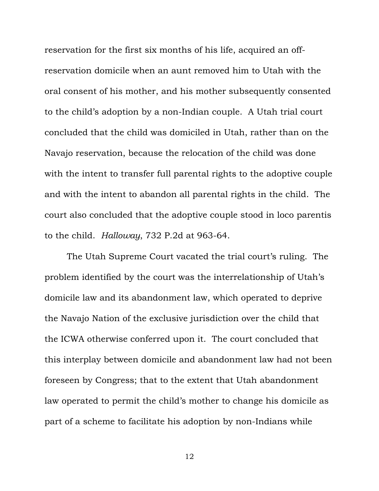reservation for the first six months of his life, acquired an offreservation domicile when an aunt removed him to Utah with the oral consent of his mother, and his mother subsequently consented to the child's adoption by a non-Indian couple. A Utah trial court concluded that the child was domiciled in Utah, rather than on the Navajo reservation, because the relocation of the child was done with the intent to transfer full parental rights to the adoptive couple and with the intent to abandon all parental rights in the child. The court also concluded that the adoptive couple stood in loco parentis to the child. *Halloway*, 732 P.2d at 963-64.

The Utah Supreme Court vacated the trial court's ruling. The problem identified by the court was the interrelationship of Utah's domicile law and its abandonment law, which operated to deprive the Navajo Nation of the exclusive jurisdiction over the child that the ICWA otherwise conferred upon it. The court concluded that this interplay between domicile and abandonment law had not been foreseen by Congress; that to the extent that Utah abandonment law operated to permit the child's mother to change his domicile as part of a scheme to facilitate his adoption by non-Indians while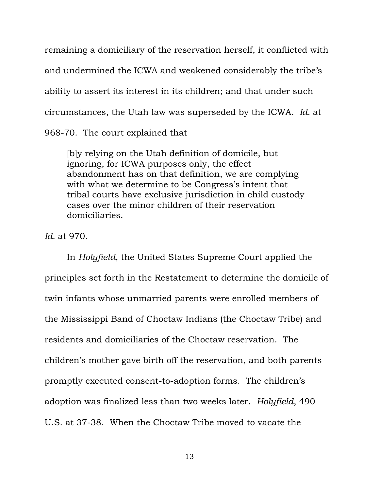remaining a domiciliary of the reservation herself, it conflicted with and undermined the ICWA and weakened considerably the tribe's ability to assert its interest in its children; and that under such circumstances, the Utah law was superseded by the ICWA. *Id.* at 968-70. The court explained that

[b]y relying on the Utah definition of domicile, but ignoring, for ICWA purposes only, the effect abandonment has on that definition, we are complying with what we determine to be Congress's intent that tribal courts have exclusive jurisdiction in child custody cases over the minor children of their reservation domiciliaries.

*Id.* at 970.

In *Holyfield*, the United States Supreme Court applied the principles set forth in the Restatement to determine the domicile of twin infants whose unmarried parents were enrolled members of the Mississippi Band of Choctaw Indians (the Choctaw Tribe) and residents and domiciliaries of the Choctaw reservation. The children's mother gave birth off the reservation, and both parents promptly executed consent-to-adoption forms. The children's adoption was finalized less than two weeks later. *Holyfield*, 490 U.S. at 37-38. When the Choctaw Tribe moved to vacate the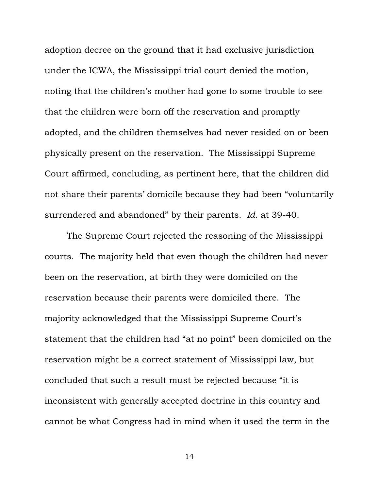adoption decree on the ground that it had exclusive jurisdiction under the ICWA, the Mississippi trial court denied the motion, noting that the children's mother had gone to some trouble to see that the children were born off the reservation and promptly adopted, and the children themselves had never resided on or been physically present on the reservation. The Mississippi Supreme Court affirmed, concluding, as pertinent here, that the children did not share their parents' domicile because they had been "voluntarily surrendered and abandoned" by their parents. *Id*. at 39-40.

The Supreme Court rejected the reasoning of the Mississippi courts. The majority held that even though the children had never been on the reservation, at birth they were domiciled on the reservation because their parents were domiciled there. The majority acknowledged that the Mississippi Supreme Court's statement that the children had "at no point" been domiciled on the reservation might be a correct statement of Mississippi law, but concluded that such a result must be rejected because "it is inconsistent with generally accepted doctrine in this country and cannot be what Congress had in mind when it used the term in the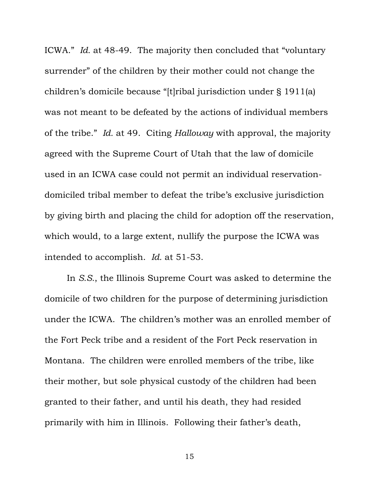ICWA." *Id.* at 48-49. The majority then concluded that "voluntary surrender" of the children by their mother could not change the children's domicile because "[t]ribal jurisdiction under § 1911(a) was not meant to be defeated by the actions of individual members of the tribe." *Id.* at 49. Citing *Halloway* with approval, the majority agreed with the Supreme Court of Utah that the law of domicile used in an ICWA case could not permit an individual reservationdomiciled tribal member to defeat the tribe's exclusive jurisdiction by giving birth and placing the child for adoption off the reservation, which would, to a large extent, nullify the purpose the ICWA was intended to accomplish. *Id.* at 51-53.

In *S.S.*, the Illinois Supreme Court was asked to determine the domicile of two children for the purpose of determining jurisdiction under the ICWA. The children's mother was an enrolled member of the Fort Peck tribe and a resident of the Fort Peck reservation in Montana. The children were enrolled members of the tribe, like their mother, but sole physical custody of the children had been granted to their father, and until his death, they had resided primarily with him in Illinois. Following their father's death,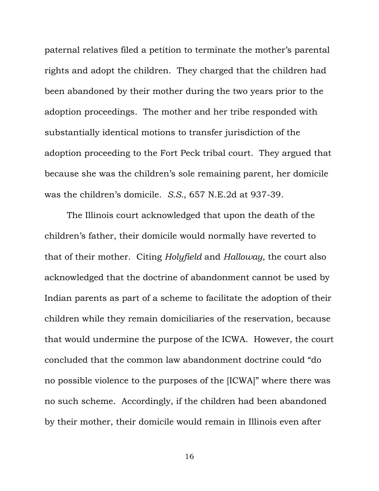paternal relatives filed a petition to terminate the mother's parental rights and adopt the children. They charged that the children had been abandoned by their mother during the two years prior to the adoption proceedings. The mother and her tribe responded with substantially identical motions to transfer jurisdiction of the adoption proceeding to the Fort Peck tribal court. They argued that because she was the children's sole remaining parent, her domicile was the children's domicile. *S.S.*, 657 N.E.2d at 937-39.

The Illinois court acknowledged that upon the death of the children's father, their domicile would normally have reverted to that of their mother. Citing *Holyfield* and *Halloway*, the court also acknowledged that the doctrine of abandonment cannot be used by Indian parents as part of a scheme to facilitate the adoption of their children while they remain domiciliaries of the reservation, because that would undermine the purpose of the ICWA. However, the court concluded that the common law abandonment doctrine could "do no possible violence to the purposes of the [ICWA]" where there was no such scheme. Accordingly, if the children had been abandoned by their mother, their domicile would remain in Illinois even after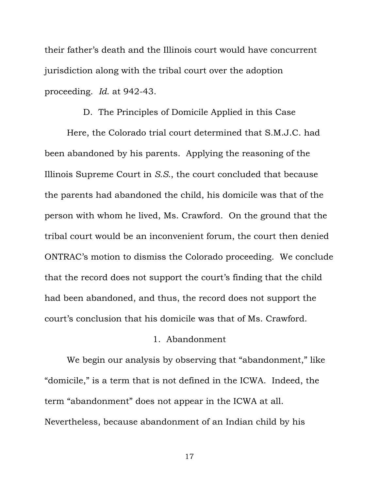their father's death and the Illinois court would have concurrent jurisdiction along with the tribal court over the adoption proceeding. *Id*. at 942-43.

#### D. The Principles of Domicile Applied in this Case

Here, the Colorado trial court determined that S.M.J.C. had been abandoned by his parents. Applying the reasoning of the Illinois Supreme Court in *S.S.*, the court concluded that because the parents had abandoned the child, his domicile was that of the person with whom he lived, Ms. Crawford. On the ground that the tribal court would be an inconvenient forum, the court then denied ONTRAC's motion to dismiss the Colorado proceeding. We conclude that the record does not support the court's finding that the child had been abandoned, and thus, the record does not support the court's conclusion that his domicile was that of Ms. Crawford.

### 1. Abandonment

We begin our analysis by observing that "abandonment," like "domicile," is a term that is not defined in the ICWA. Indeed, the term "abandonment" does not appear in the ICWA at all. Nevertheless, because abandonment of an Indian child by his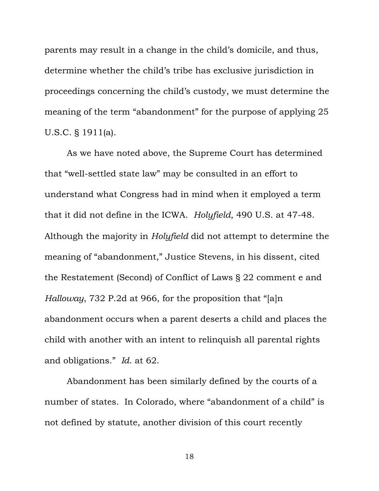parents may result in a change in the child's domicile, and thus, determine whether the child's tribe has exclusive jurisdiction in proceedings concerning the child's custody, we must determine the meaning of the term "abandonment" for the purpose of applying 25 U.S.C. § 1911(a).

As we have noted above, the Supreme Court has determined that "well-settled state law" may be consulted in an effort to understand what Congress had in mind when it employed a term that it did not define in the ICWA. *Holyfield*, 490 U.S. at 47-48. Although the majority in *Holyfield* did not attempt to determine the meaning of "abandonment," Justice Stevens, in his dissent, cited the Restatement (Second) of Conflict of Laws § 22 comment e and *Halloway*, 732 P.2d at 966, for the proposition that "[a]n abandonment occurs when a parent deserts a child and places the child with another with an intent to relinquish all parental rights and obligations." *Id*. at 62.

Abandonment has been similarly defined by the courts of a number of states. In Colorado, where "abandonment of a child" is not defined by statute, another division of this court recently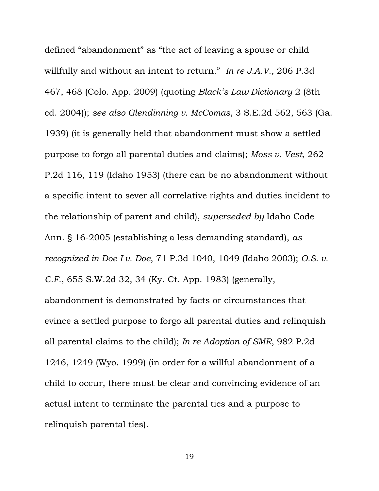defined "abandonment" as "the act of leaving a spouse or child willfully and without an intent to return." *In re J.A.V.*, 206 P.3d 467, 468 (Colo. App. 2009) (quoting *Black's Law Dictionary* 2 (8th ed. 2004)); *see also Glendinning v. McComas*, 3 S.E.2d 562, 563 (Ga. 1939) (it is generally held that abandonment must show a settled purpose to forgo all parental duties and claims); *Moss v. Vest*, 262 P.2d 116, 119 (Idaho 1953) (there can be no abandonment without a specific intent to sever all correlative rights and duties incident to the relationship of parent and child), *superseded by* Idaho Code Ann. § 16-2005 (establishing a less demanding standard), *as recognized in Doe I v. Doe*, 71 P.3d 1040, 1049 (Idaho 2003); *O.S. v. C.F.*, 655 S.W.2d 32, 34 (Ky. Ct. App. 1983) (generally, abandonment is demonstrated by facts or circumstances that evince a settled purpose to forgo all parental duties and relinquish all parental claims to the child); *In re Adoption of SMR*, 982 P.2d 1246, 1249 (Wyo. 1999) (in order for a willful abandonment of a child to occur, there must be clear and convincing evidence of an actual intent to terminate the parental ties and a purpose to relinquish parental ties).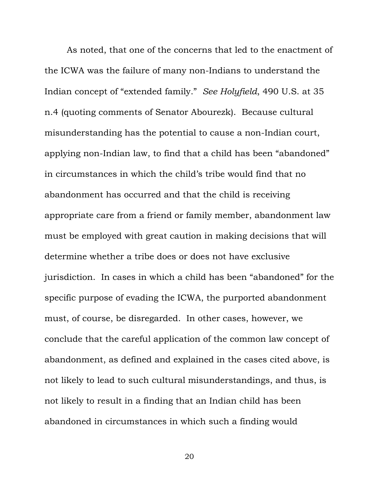As noted, that one of the concerns that led to the enactment of the ICWA was the failure of many non-Indians to understand the Indian concept of "extended family." *See Holyfield*, 490 U.S. at 35 n.4 (quoting comments of Senator Abourezk). Because cultural misunderstanding has the potential to cause a non-Indian court, applying non-Indian law, to find that a child has been "abandoned" in circumstances in which the child's tribe would find that no abandonment has occurred and that the child is receiving appropriate care from a friend or family member, abandonment law must be employed with great caution in making decisions that will determine whether a tribe does or does not have exclusive jurisdiction. In cases in which a child has been "abandoned" for the specific purpose of evading the ICWA, the purported abandonment must, of course, be disregarded. In other cases, however, we conclude that the careful application of the common law concept of abandonment, as defined and explained in the cases cited above, is not likely to lead to such cultural misunderstandings, and thus, is not likely to result in a finding that an Indian child has been abandoned in circumstances in which such a finding would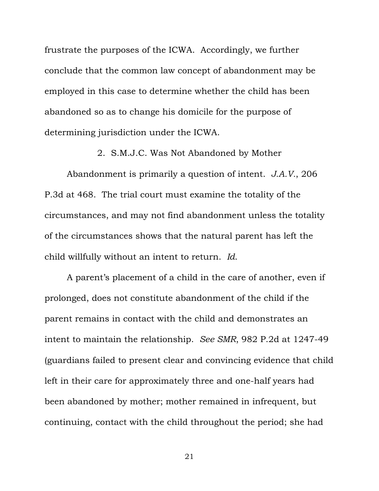frustrate the purposes of the ICWA. Accordingly, we further conclude that the common law concept of abandonment may be employed in this case to determine whether the child has been abandoned so as to change his domicile for the purpose of determining jurisdiction under the ICWA.

2. S.M.J.C. Was Not Abandoned by Mother

Abandonment is primarily a question of intent. *J.A.V.*, 206 P.3d at 468. The trial court must examine the totality of the circumstances, and may not find abandonment unless the totality of the circumstances shows that the natural parent has left the child willfully without an intent to return. *Id*.

A parent's placement of a child in the care of another, even if prolonged, does not constitute abandonment of the child if the parent remains in contact with the child and demonstrates an intent to maintain the relationship. *See SMR*, 982 P.2d at 1247-49 (guardians failed to present clear and convincing evidence that child left in their care for approximately three and one-half years had been abandoned by mother; mother remained in infrequent, but continuing, contact with the child throughout the period; she had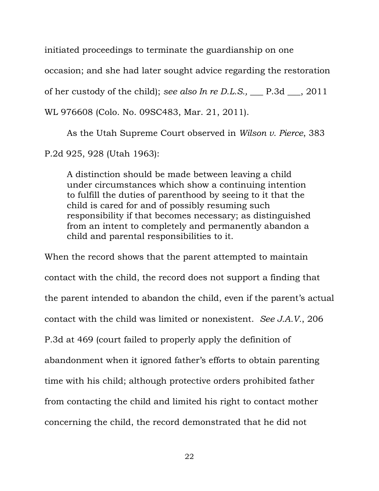initiated proceedings to terminate the guardianship on one occasion; and she had later sought advice regarding the restoration

of her custody of the child); *see also In re D.L.S.,* \_\_\_ P.3d \_\_\_, 2011

WL 976608 (Colo. No. 09SC483, Mar. 21, 2011).

As the Utah Supreme Court observed in *Wilson v. Pierce*, 383 P.2d 925, 928 (Utah 1963):

A distinction should be made between leaving a child under circumstances which show a continuing intention to fulfill the duties of parenthood by seeing to it that the child is cared for and of possibly resuming such responsibility if that becomes necessary; as distinguished from an intent to completely and permanently abandon a child and parental responsibilities to it.

When the record shows that the parent attempted to maintain contact with the child, the record does not support a finding that the parent intended to abandon the child, even if the parent's actual contact with the child was limited or nonexistent. *See J.A.V.*, 206 P.3d at 469 (court failed to properly apply the definition of abandonment when it ignored father's efforts to obtain parenting time with his child; although protective orders prohibited father from contacting the child and limited his right to contact mother concerning the child, the record demonstrated that he did not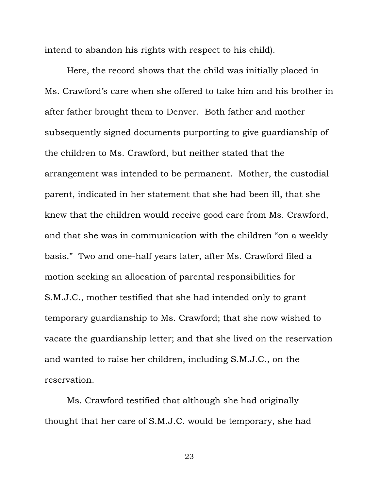intend to abandon his rights with respect to his child).

 Here, the record shows that the child was initially placed in Ms. Crawford's care when she offered to take him and his brother in after father brought them to Denver. Both father and mother subsequently signed documents purporting to give guardianship of the children to Ms. Crawford, but neither stated that the arrangement was intended to be permanent. Mother, the custodial parent, indicated in her statement that she had been ill, that she knew that the children would receive good care from Ms. Crawford, and that she was in communication with the children "on a weekly basis." Two and one-half years later, after Ms. Crawford filed a motion seeking an allocation of parental responsibilities for S.M.J.C., mother testified that she had intended only to grant temporary guardianship to Ms. Crawford; that she now wished to vacate the guardianship letter; and that she lived on the reservation and wanted to raise her children, including S.M.J.C., on the reservation.

Ms. Crawford testified that although she had originally thought that her care of S.M.J.C. would be temporary, she had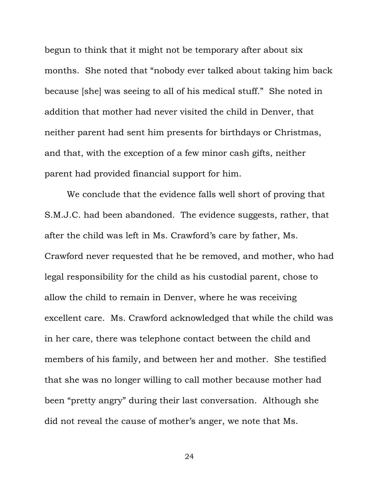begun to think that it might not be temporary after about six months. She noted that "nobody ever talked about taking him back because [she] was seeing to all of his medical stuff." She noted in addition that mother had never visited the child in Denver, that neither parent had sent him presents for birthdays or Christmas, and that, with the exception of a few minor cash gifts, neither parent had provided financial support for him.

We conclude that the evidence falls well short of proving that S.M.J.C. had been abandoned. The evidence suggests, rather, that after the child was left in Ms. Crawford's care by father, Ms. Crawford never requested that he be removed, and mother, who had legal responsibility for the child as his custodial parent, chose to allow the child to remain in Denver, where he was receiving excellent care. Ms. Crawford acknowledged that while the child was in her care, there was telephone contact between the child and members of his family, and between her and mother. She testified that she was no longer willing to call mother because mother had been "pretty angry" during their last conversation. Although she did not reveal the cause of mother's anger, we note that Ms.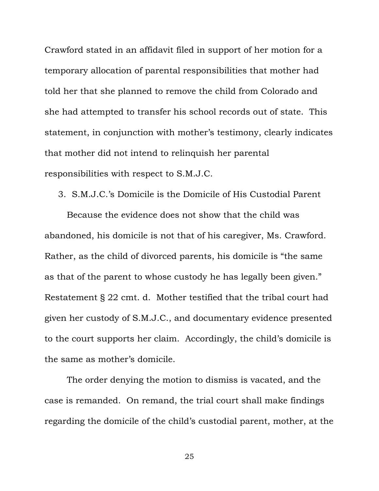Crawford stated in an affidavit filed in support of her motion for a temporary allocation of parental responsibilities that mother had told her that she planned to remove the child from Colorado and she had attempted to transfer his school records out of state. This statement, in conjunction with mother's testimony, clearly indicates that mother did not intend to relinquish her parental responsibilities with respect to S.M.J.C.

3. S.M.J.C.'s Domicile is the Domicile of His Custodial Parent

Because the evidence does not show that the child was abandoned, his domicile is not that of his caregiver, Ms. Crawford. Rather, as the child of divorced parents, his domicile is "the same as that of the parent to whose custody he has legally been given." Restatement § 22 cmt. d. Mother testified that the tribal court had given her custody of S.M.J.C., and documentary evidence presented to the court supports her claim. Accordingly, the child's domicile is the same as mother's domicile.

The order denying the motion to dismiss is vacated, and the case is remanded. On remand, the trial court shall make findings regarding the domicile of the child's custodial parent, mother, at the